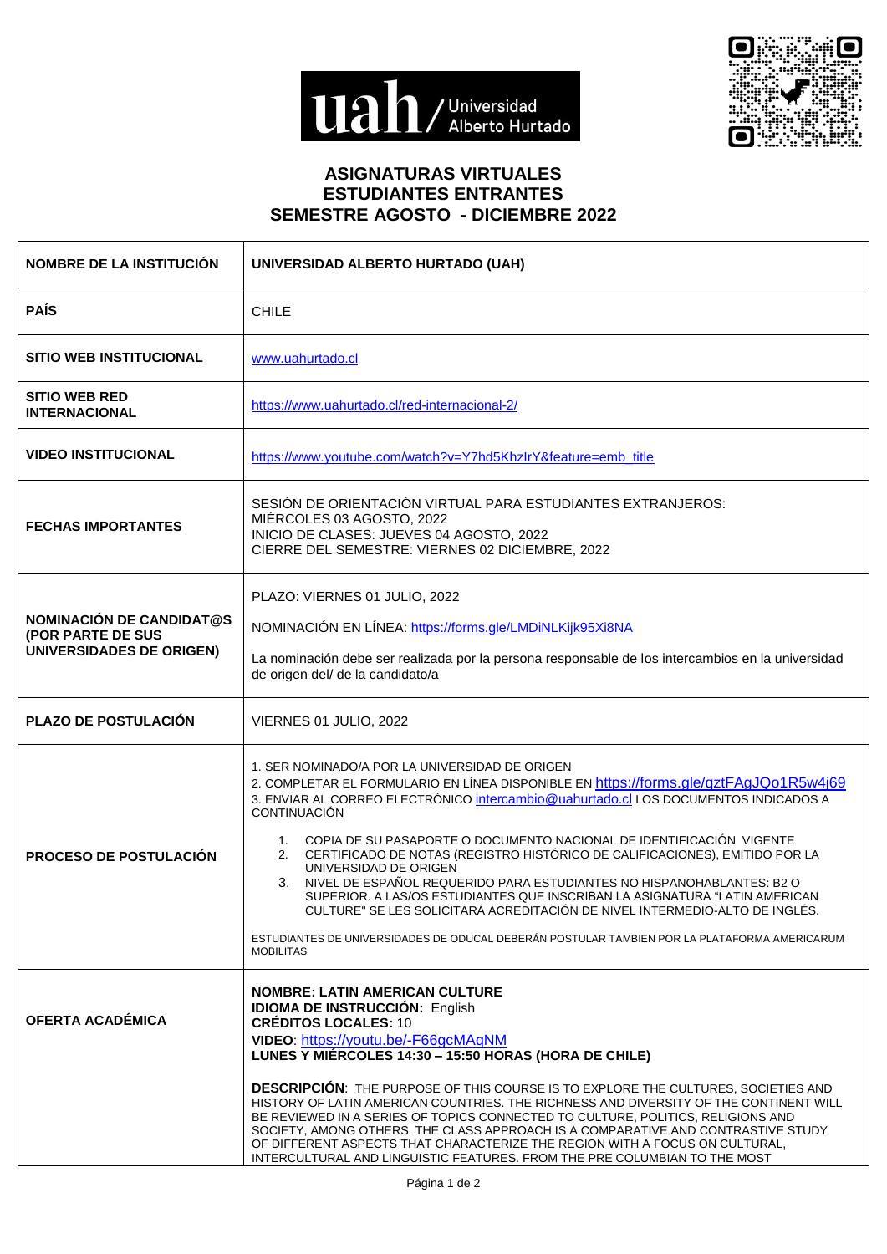



## **ASIGNATURAS VIRTUALES ESTUDIANTES ENTRANTES SEMESTRE AGOSTO - DICIEMBRE 2022**

| <b>NOMBRE DE LA INSTITUCIÓN</b>                                                  | UNIVERSIDAD ALBERTO HURTADO (UAH)                                                                                                                                                                                                                                                                                                                                                                                                                                                                                                                                                                                                                                                                                                                                                                        |
|----------------------------------------------------------------------------------|----------------------------------------------------------------------------------------------------------------------------------------------------------------------------------------------------------------------------------------------------------------------------------------------------------------------------------------------------------------------------------------------------------------------------------------------------------------------------------------------------------------------------------------------------------------------------------------------------------------------------------------------------------------------------------------------------------------------------------------------------------------------------------------------------------|
| <b>PAÍS</b>                                                                      | <b>CHILE</b>                                                                                                                                                                                                                                                                                                                                                                                                                                                                                                                                                                                                                                                                                                                                                                                             |
| <b>SITIO WEB INSTITUCIONAL</b>                                                   | www.uahurtado.cl                                                                                                                                                                                                                                                                                                                                                                                                                                                                                                                                                                                                                                                                                                                                                                                         |
| <b>SITIO WEB RED</b><br><b>INTERNACIONAL</b>                                     | https://www.uahurtado.cl/red-internacional-2/                                                                                                                                                                                                                                                                                                                                                                                                                                                                                                                                                                                                                                                                                                                                                            |
| <b>VIDEO INSTITUCIONAL</b>                                                       | https://www.youtube.com/watch?v=Y7hd5KhzIrY&feature=emb_title                                                                                                                                                                                                                                                                                                                                                                                                                                                                                                                                                                                                                                                                                                                                            |
| <b>FECHAS IMPORTANTES</b>                                                        | SESIÓN DE ORIENTACIÓN VIRTUAL PARA ESTUDIANTES EXTRANJEROS:<br>MIÉRCOLES 03 AGOSTO, 2022<br>INICIO DE CLASES: JUEVES 04 AGOSTO, 2022<br>CIERRE DEL SEMESTRE: VIERNES 02 DICIEMBRE, 2022                                                                                                                                                                                                                                                                                                                                                                                                                                                                                                                                                                                                                  |
| <b>NOMINACIÓN DE CANDIDAT@S</b><br>(POR PARTE DE SUS<br>UNIVERSIDADES DE ORIGEN) | PLAZO: VIERNES 01 JULIO, 2022<br>NOMINACIÓN EN LÍNEA: https://forms.gle/LMDiNLKijk95Xi8NA<br>La nominación debe ser realizada por la persona responsable de los intercambios en la universidad<br>de origen del/ de la candidato/a                                                                                                                                                                                                                                                                                                                                                                                                                                                                                                                                                                       |
| PLAZO DE POSTULACIÓN                                                             | VIERNES 01 JULIO, 2022                                                                                                                                                                                                                                                                                                                                                                                                                                                                                                                                                                                                                                                                                                                                                                                   |
| <b>PROCESO DE POSTULACIÓN</b>                                                    | 1. SER NOMINADO/A POR LA UNIVERSIDAD DE ORIGEN<br>2. COMPLETAR EL FORMULARIO EN LÍNEA DISPONIBLE EN https://forms.gle/qztFAgJQo1R5w4j69<br>3. ENVIAR AL CORREO ELECTRÓNICO intercambio@uahurtado.cl LOS DOCUMENTOS INDICADOS A<br><b>CONTINUACIÓN</b><br>1. COPIA DE SU PASAPORTE O DOCUMENTO NACIONAL DE IDENTIFICACIÓN VIGENTE<br>2. CERTIFICADO DE NOTAS (REGISTRO HISTÓRICO DE CALIFICACIONES), EMITIDO POR LA<br>UNIVERSIDAD DE ORIGEN<br>3. NIVEL DE ESPAÑOL REQUERIDO PARA ESTUDIANTES NO HISPANOHABLANTES: B2 O<br>SUPERIOR. A LAS/OS ESTUDIANTES QUE INSCRIBAN LA ASIGNATURA "LATIN AMERICAN<br>CULTURE" SE LES SOLICITARÁ ACREDITACIÓN DE NIVEL INTERMEDIO-ALTO DE INGLÉS.<br>ESTUDIANTES DE UNIVERSIDADES DE ODUCAL DEBERÁN POSTULAR TAMBIEN POR LA PLATAFORMA AMERICARUM<br><b>MOBILITAS</b> |
| OFERTA ACADÉMICA                                                                 | NOMBRE: LATIN AMERICAN CULTURE<br><b>IDIOMA DE INSTRUCCIÓN: English</b><br><b>CRÉDITOS LOCALES: 10</b><br>VIDEO: https://youtu.be/-F66gcMAqNM<br>LUNES Y MIÉRCOLES 14:30 - 15:50 HORAS (HORA DE CHILE)<br><b>DESCRIPCION:</b> THE PURPOSE OF THIS COURSE IS TO EXPLORE THE CULTURES, SOCIETIES AND<br>HISTORY OF LATIN AMERICAN COUNTRIES. THE RICHNESS AND DIVERSITY OF THE CONTINENT WILL<br>BE REVIEWED IN A SERIES OF TOPICS CONNECTED TO CULTURE, POLITICS, RELIGIONS AND<br>SOCIETY, AMONG OTHERS. THE CLASS APPROACH IS A COMPARATIVE AND CONTRASTIVE STUDY<br>OF DIFFERENT ASPECTS THAT CHARACTERIZE THE REGION WITH A FOCUS ON CULTURAL,<br>INTERCULTURAL AND LINGUISTIC FEATURES. FROM THE PRE COLUMBIAN TO THE MOST                                                                           |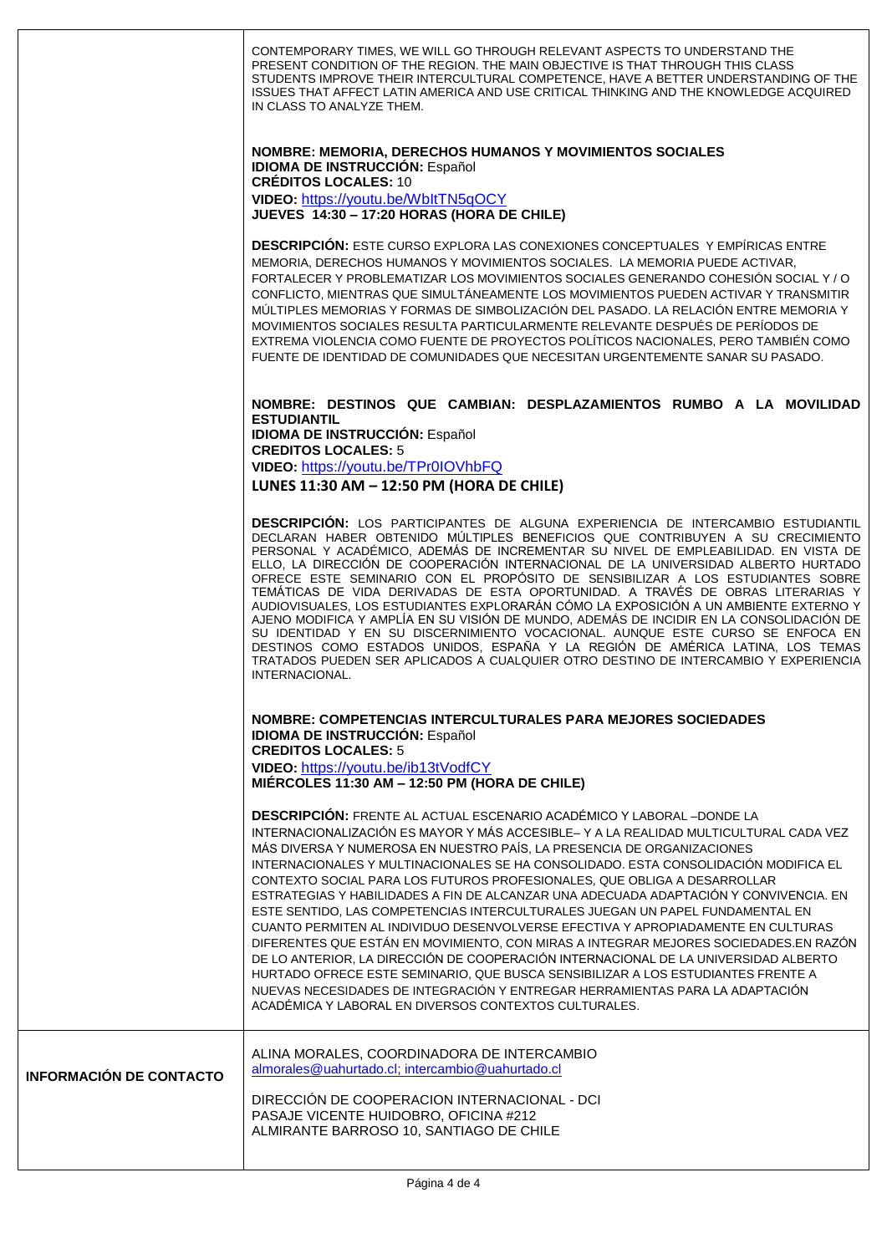|                                | CONTEMPORARY TIMES, WE WILL GO THROUGH RELEVANT ASPECTS TO UNDERSTAND THE<br>PRESENT CONDITION OF THE REGION. THE MAIN OBJECTIVE IS THAT THROUGH THIS CLASS<br>STUDENTS IMPROVE THEIR INTERCULTURAL COMPETENCE, HAVE A BETTER UNDERSTANDING OF THE<br>ISSUES THAT AFFECT LATIN AMERICA AND USE CRITICAL THINKING AND THE KNOWLEDGE ACQUIRED<br>IN CLASS TO ANALYZE THEM.                                                                                                                                                                                                                                                                                                                                                                                                                                                                                                                                                                                                                                                                                                                    |
|--------------------------------|---------------------------------------------------------------------------------------------------------------------------------------------------------------------------------------------------------------------------------------------------------------------------------------------------------------------------------------------------------------------------------------------------------------------------------------------------------------------------------------------------------------------------------------------------------------------------------------------------------------------------------------------------------------------------------------------------------------------------------------------------------------------------------------------------------------------------------------------------------------------------------------------------------------------------------------------------------------------------------------------------------------------------------------------------------------------------------------------|
|                                | NOMBRE: MEMORIA, DERECHOS HUMANOS Y MOVIMIENTOS SOCIALES<br><b>IDIOMA DE INSTRUCCIÓN: Español</b><br><b>CRÉDITOS LOCALES: 10</b>                                                                                                                                                                                                                                                                                                                                                                                                                                                                                                                                                                                                                                                                                                                                                                                                                                                                                                                                                            |
|                                | VIDEO: https://youtu.be/WbltTN5qOCY<br>JUEVES 14:30 - 17:20 HORAS (HORA DE CHILE)                                                                                                                                                                                                                                                                                                                                                                                                                                                                                                                                                                                                                                                                                                                                                                                                                                                                                                                                                                                                           |
|                                | <b>DESCRIPCIÓN:</b> ESTE CURSO EXPLORA LAS CONEXIONES CONCEPTUALES Y EMPÍRICAS ENTRE<br>MEMORIA, DERECHOS HUMANOS Y MOVIMIENTOS SOCIALES. LA MEMORIA PUEDE ACTIVAR,<br>FORTALECER Y PROBLEMATIZAR LOS MOVIMIENTOS SOCIALES GENERANDO COHESIÓN SOCIAL Y / O<br>CONFLICTO, MIENTRAS QUE SIMULTÁNEAMENTE LOS MOVIMIENTOS PUEDEN ACTIVAR Y TRANSMITIR<br>MÚLTIPLES MEMORIAS Y FORMAS DE SIMBOLIZACIÓN DEL PASADO. LA RELACIÓN ENTRE MEMORIA Y<br>MOVIMIENTOS SOCIALES RESULTA PARTICULARMENTE RELEVANTE DESPUÉS DE PERÍODOS DE<br>EXTREMA VIOLENCIA COMO FUENTE DE PROYECTOS POLÍTICOS NACIONALES, PERO TAMBIÉN COMO<br>FUENTE DE IDENTIDAD DE COMUNIDADES QUE NECESITAN URGENTEMENTE SANAR SU PASADO.                                                                                                                                                                                                                                                                                                                                                                                          |
|                                | NOMBRE: DESTINOS QUE CAMBIAN: DESPLAZAMIENTOS RUMBO A LA MOVILIDAD<br><b>ESTUDIANTIL</b><br><b>IDIOMA DE INSTRUCCIÓN: Español</b>                                                                                                                                                                                                                                                                                                                                                                                                                                                                                                                                                                                                                                                                                                                                                                                                                                                                                                                                                           |
|                                | <b>CREDITOS LOCALES: 5</b><br>VIDEO: https://youtu.be/TPr0IOVhbFQ<br>LUNES 11:30 AM - 12:50 PM (HORA DE CHILE)                                                                                                                                                                                                                                                                                                                                                                                                                                                                                                                                                                                                                                                                                                                                                                                                                                                                                                                                                                              |
|                                |                                                                                                                                                                                                                                                                                                                                                                                                                                                                                                                                                                                                                                                                                                                                                                                                                                                                                                                                                                                                                                                                                             |
|                                | DESCRIPCIÓN: LOS PARTICIPANTES DE ALGUNA EXPERIENCIA DE INTERCAMBIO ESTUDIANTIL<br>DECLARAN HABER OBTENIDO MÚLTIPLES BENEFICIOS QUE CONTRIBUYEN A SU CRECIMIENTO<br>PERSONAL Y ACADÉMICO, ADEMÁS DE INCREMENTAR SU NIVEL DE EMPLEABILIDAD. EN VISTA DE<br>ELLO, LA DIRECCIÓN DE COOPERACIÓN INTERNACIONAL DE LA UNIVERSIDAD ALBERTO HURTADO<br>OFRECE ESTE SEMINARIO CON EL PROPÓSITO DE SENSIBILIZAR A LOS ESTUDIANTES SOBRE<br>TEMÁTICAS DE VIDA DERIVADAS DE ESTA OPORTUNIDAD. A TRAVÉS DE OBRAS LITERARIAS Y<br>AUDIOVISUALES, LOS ESTUDIANTES EXPLORARÁN CÓMO LA EXPOSICIÓN A UN AMBIENTE EXTERNO Y<br>AJENO MODIFICA Y AMPLÍA EN SU VISIÓN DE MUNDO, ADEMÁS DE INCIDIR EN LA CONSOLIDACIÓN DE<br>SU IDENTIDAD Y EN SU DISCERNIMIENTO VOCACIONAL. AUNQUE ESTE CURSO SE ENFOCA EN<br>DESTINOS COMO ESTADOS UNIDOS, ESPAÑA Y LA REGIÓN DE AMÉRICA LATINA, LOS TEMAS<br>TRATADOS PUEDEN SER APLICADOS A CUALQUIER OTRO DESTINO DE INTERCAMBIO Y EXPERIENCIA<br>INTERNACIONAL.                                                                                                             |
|                                | NOMBRE: COMPETENCIAS INTERCULTURALES PARA MEJORES SOCIEDADES<br><b>IDIOMA DE INSTRUCCIÓN: Español</b>                                                                                                                                                                                                                                                                                                                                                                                                                                                                                                                                                                                                                                                                                                                                                                                                                                                                                                                                                                                       |
|                                | <b>CREDITOS LOCALES: 5</b><br>VIDEO: https://youtu.be/ib13tVodfCY                                                                                                                                                                                                                                                                                                                                                                                                                                                                                                                                                                                                                                                                                                                                                                                                                                                                                                                                                                                                                           |
|                                | MIÉRCOLES 11:30 AM - 12:50 PM (HORA DE CHILE)                                                                                                                                                                                                                                                                                                                                                                                                                                                                                                                                                                                                                                                                                                                                                                                                                                                                                                                                                                                                                                               |
|                                | <b>DESCRIPCIÓN: FRENTE AL ACTUAL ESCENARIO ACADÉMICO Y LABORAL-DONDE LA</b><br>INTERNACIONALIZACIÓN ES MAYOR Y MÁS ACCESIBLE- Y A LA REALIDAD MULTICULTURAL CADA VEZ<br>MÁS DIVERSA Y NUMEROSA EN NUESTRO PAÍS, LA PRESENCIA DE ORGANIZACIONES<br>INTERNACIONALES Y MULTINACIONALES SE HA CONSOLIDADO. ESTA CONSOLIDACIÓN MODIFICA EL<br>CONTEXTO SOCIAL PARA LOS FUTUROS PROFESIONALES, QUE OBLIGA A DESARROLLAR<br>ESTRATEGIAS Y HABILIDADES A FIN DE ALCANZAR UNA ADECUADA ADAPTACIÓN Y CONVIVENCIA. EN<br>ESTE SENTIDO, LAS COMPETENCIAS INTERCULTURALES JUEGAN UN PAPEL FUNDAMENTAL EN<br>CUANTO PERMITEN AL INDIVIDUO DESENVOLVERSE EFECTIVA Y APROPIADAMENTE EN CULTURAS<br>DIFERENTES QUE ESTÁN EN MOVIMIENTO, CON MIRAS A INTEGRAR MEJORES SOCIEDADES.EN RAZÓN<br>DE LO ANTERIOR, LA DIRECCIÓN DE COOPERACIÓN INTERNACIONAL DE LA UNIVERSIDAD ALBERTO<br>HURTADO OFRECE ESTE SEMINARIO, QUE BUSCA SENSIBILIZAR A LOS ESTUDIANTES FRENTE A<br>NUEVAS NECESIDADES DE INTEGRACIÓN Y ENTREGAR HERRAMIENTAS PARA LA ADAPTACIÓN<br>ACADÉMICA Y LABORAL EN DIVERSOS CONTEXTOS CULTURALES. |
| <b>INFORMACIÓN DE CONTACTO</b> | ALINA MORALES, COORDINADORA DE INTERCAMBIO<br>almorales@uahurtado.cl; intercambio@uahurtado.cl<br>DIRECCIÓN DE COOPERACION INTERNACIONAL - DCI                                                                                                                                                                                                                                                                                                                                                                                                                                                                                                                                                                                                                                                                                                                                                                                                                                                                                                                                              |
|                                | PASAJE VICENTE HUIDOBRO, OFICINA #212<br>ALMIRANTE BARROSO 10, SANTIAGO DE CHILE                                                                                                                                                                                                                                                                                                                                                                                                                                                                                                                                                                                                                                                                                                                                                                                                                                                                                                                                                                                                            |